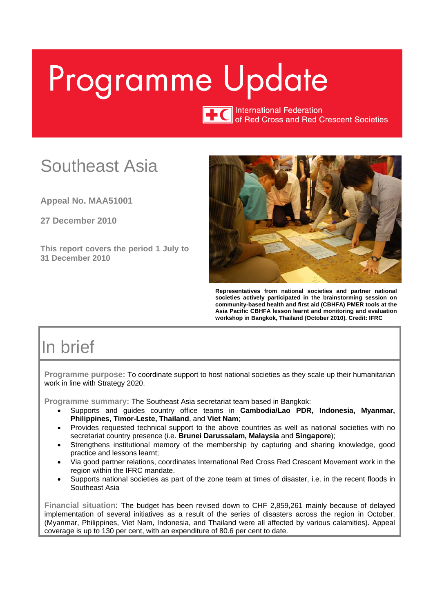# <span id="page-0-0"></span>Programme Update

TTC International Federation<br>of Red Cross and Red Crescent Societies

# Southeast Asia

**Appeal No. MAA51001**

**27 December 2010** 

**This report covers the period 1 July to 31 December 2010** 



**Representatives from national societies and partner national societies actively participated in the brainstorming session on community-based health and first aid (CBHFA) PMER tools at the Asia Pacific CBHFA lesson learnt and monitoring and evaluation workshop in Bangkok, Thailand (October 2010). Credit: IFRC** 

# In brief

**Programme purpose:** To coordinate support to host national societies as they scale up their humanitarian work in line with Strategy 2020.

**Programme summary:** The Southeast Asia secretariat team based in Bangkok:

- Supports and guides country office teams in **Cambodia/Lao PDR, Indonesia, Myanmar, Philippines, Timor-Leste, Thailand**, and **Viet Nam**;
- Provides requested technical support to the above countries as well as national societies with no secretariat country presence (i.e. **Brunei Darussalam, Malaysia** and **Singapore**);
- Strengthens institutional memory of the membership by capturing and sharing knowledge, good practice and lessons learnt;
- Via good partner relations, coordinates International Red Cross Red Crescent Movement work in the region within the IFRC mandate.
- Supports national societies as part of the zone team at times of disaster, i.e. in the recent floods in Southeast Asia

**Financial situation**: The budget has been revised down to CHF 2,859,261 mainly because of delayed implementation of several initiatives as a result of the series of disasters across the region in October. (Myanmar, Philippines, Viet Nam, Indonesia, and Thailand were all affected by various calamities). Appeal coverage is up to 130 per cent, with an expenditure of 80.6 per cent to date.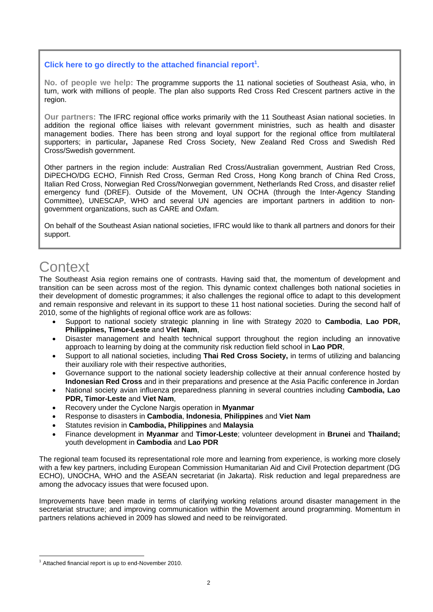#### Click here to go directly to the attached financial report<sup>1</sup>.

**No. of people we help:** The programme supports the 11 national societies of Southeast Asia, who, in turn, work with millions of people. The plan also supports Red Cross Red Crescent partners active in the region.

**Our partners:** The IFRC regional office works primarily with the 11 Southeast Asian national societies. In addition the regional office liaises with relevant government ministries, such as health and disaster management bodies. There has been strong and loyal support for the regional office from multilateral supporters; in particular**,** Japanese Red Cross Society, New Zealand Red Cross and Swedish Red Cross/Swedish government.

Other partners in the region include: Australian Red Cross/Australian government, Austrian Red Cross, DiPECHO/DG ECHO, Finnish Red Cross, German Red Cross, Hong Kong branch of China Red Cross, Italian Red Cross, Norwegian Red Cross/Norwegian government, Netherlands Red Cross, and disaster relief emergency fund (DREF). Outside of the Movement, UN OCHA (through the Inter-Agency Standing Committee), UNESCAP, WHO and several UN agencies are important partners in addition to nongovernment organizations, such as CARE and Oxfam.

On behalf of the Southeast Asian national societies, IFRC would like to thank all partners and donors for their support.

# Context

The Southeast Asia region remains one of contrasts. Having said that, the momentum of development and transition can be seen across most of the region. This dynamic context challenges both national societies in their development of domestic programmes; it also challenges the regional office to adapt to this development and remain responsive and relevant in its support to these 11 host national societies. During the second half of 2010, some of the highlights of regional office work are as follows:

- Support to national society strategic planning in line with Strategy 2020 to **Cambodia**, **Lao PDR, Philippines, Timor-Leste** and **Viet Nam**,
- Disaster management and health technical support throughout the region including an innovative approach to learning by doing at the community risk reduction field school in **Lao PDR**,
- Support to all national societies, including **Thai Red Cross Society,** in terms of utilizing and balancing their auxiliary role with their respective authorities,
- Governance support to the national society leadership collective at their annual conference hosted by **Indonesian Red Cross** and in their preparations and presence at the Asia Pacific conference in Jordan
- National society avian influenza preparedness planning in several countries including **Cambodia, Lao PDR, Timor-Leste** and **Viet Nam**,
- Recovery under the Cyclone Nargis operation in **Myanmar**
- Response to disasters in **Cambodia**, **Indonesia**, **Philippines** and **Viet Nam**
- Statutes revision in **Cambodia, Philippines** and **Malaysia**
- Finance development in **Myanmar** and **Timor-Leste**; volunteer development in **Brunei** and **Thailand;**  youth development in **Cambodia** and **Lao PDR**

The regional team focused its representational role more and learning from experience, is working more closely with a few key partners, including European Commission Humanitarian Aid and Civil Protection department (DG ECHO), UNOCHA, WHO and the ASEAN secretariat (in Jakarta). Risk reduction and legal preparedness are among the advocacy issues that were focused upon.

Improvements have been made in terms of clarifying working relations around disaster management in the secretariat structure; and improving communication within the Movement around programming. Momentum in partners relations achieved in 2009 has slowed and need to be reinvigorated.

 $\overline{a}$ <sup>1</sup> Attached financial report is up to end-November 2010.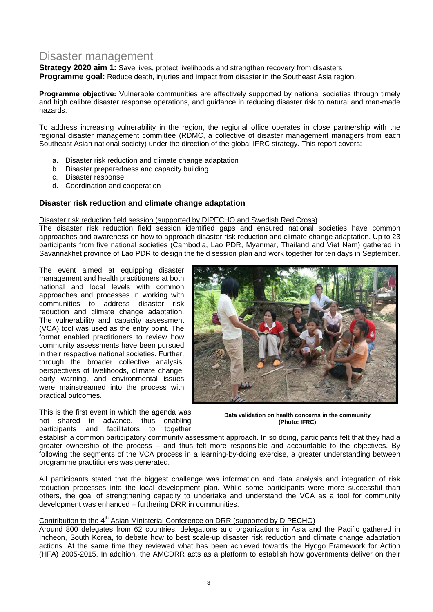## Disaster management

**Strategy 2020 aim 1:** Save lives, protect livelihoods and strengthen recovery from disasters **Programme goal:** Reduce death, injuries and impact from disaster in the Southeast Asia region.

**Programme objective:** Vulnerable communities are effectively supported by national societies through timely and high calibre disaster response operations, and guidance in reducing disaster risk to natural and man-made hazards.

To address increasing vulnerability in the region, the regional office operates in close partnership with the regional disaster management committee (RDMC, a collective of disaster management managers from each Southeast Asian national society) under the direction of the global IFRC strategy. This report covers:

- a. Disaster risk reduction and climate change adaptation
- b. Disaster preparedness and capacity building
- c. Disaster response
- d. Coordination and cooperation

#### **Disaster risk reduction and climate change adaptation**

#### Disaster risk reduction field session (supported by DIPECHO and Swedish Red Cross)

The disaster risk reduction field session identified gaps and ensured national societies have common approaches and awareness on how to approach disaster risk reduction and climate change adaptation. Up to 23 participants from five national societies (Cambodia, Lao PDR, Myanmar, Thailand and Viet Nam) gathered in Savannakhet province of Lao PDR to design the field session plan and work together for ten days in September.

The event aimed at equipping disaster management and health practitioners at both national and local levels with common approaches and processes in working with communities to address disaster risk reduction and climate change adaptation. The vulnerability and capacity assessment (VCA) tool was used as the entry point. The format enabled practitioners to review how community assessments have been pursued in their respective national societies. Further, through the broader collective analysis, perspectives of livelihoods, climate change, early warning, and environmental issues were mainstreamed into the process with practical outcomes.

This is the first event in which the agenda was not shared in advance, thus enabling participants and facilitators to together



**Data validation on health concerns in the community (Photo: IFRC)** 

establish a common participatory community assessment approach. In so doing, participants felt that they had a greater ownership of the process – and thus felt more responsible and accountable to the objectives. By following the segments of the VCA process in a learning-by-doing exercise, a greater understanding between programme practitioners was generated.

All participants stated that the biggest challenge was information and data analysis and integration of risk reduction processes into the local development plan. While some participants were more successful than others, the goal of strengthening capacity to undertake and understand the VCA as a tool for community development was enhanced – furthering DRR in communities.

#### Contribution to the 4<sup>th</sup> Asian Ministerial Conference on DRR (supported by DIPECHO)

Around 800 delegates from 62 countries, delegations and organizations in Asia and the Pacific gathered in Incheon, South Korea, to debate how to best scale-up disaster risk reduction and climate change adaptation actions. At the same time they reviewed what has been achieved towards the Hyogo Framework for Action (HFA) 2005-2015. In addition, the AMCDRR acts as a platform to establish how governments deliver on their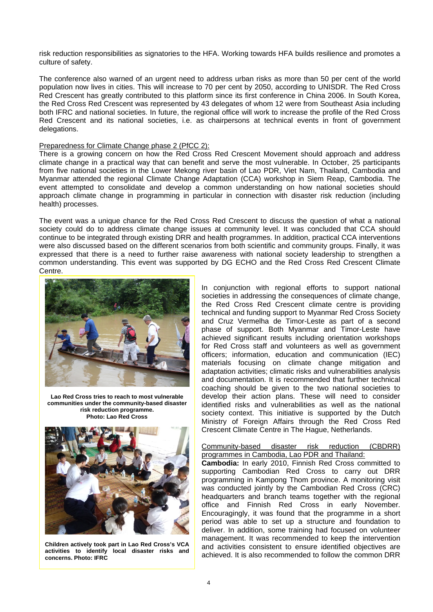risk reduction responsibilities as signatories to the HFA. Working towards HFA builds resilience and promotes a culture of safety.

The conference also warned of an urgent need to address urban risks as more than 50 per cent of the world population now lives in cities. This will increase to 70 per cent by 2050, according to UNISDR. The Red Cross Red Crescent has greatly contributed to this platform since its first conference in China 2006. In South Korea, the Red Cross Red Crescent was represented by 43 delegates of whom 12 were from Southeast Asia including both IFRC and national societies. In future, the regional office will work to increase the profile of the Red Cross Red Crescent and its national societies, i.e. as chairpersons at technical events in front of government delegations.

#### Preparedness for Climate Change phase 2 (PfCC 2):

There is a growing concern on how the Red Cross Red Crescent Movement should approach and address climate change in a practical way that can benefit and serve the most vulnerable. In October, 25 participants from five national societies in the Lower Mekong river basin of Lao PDR, Viet Nam, Thailand, Cambodia and Myanmar attended the regional Climate Change Adaptation (CCA) workshop in Siem Reap, Cambodia. The event attempted to consolidate and develop a common understanding on how national societies should approach climate change in programming in particular in connection with disaster risk reduction (including health) processes.

The event was a unique chance for the Red Cross Red Crescent to discuss the question of what a national society could do to address climate change issues at community level. It was concluded that CCA should continue to be integrated through existing DRR and health programmes. In addition, practical CCA interventions were also discussed based on the different scenarios from both scientific and community groups. Finally, it was expressed that there is a need to further raise awareness with national society leadership to strengthen a common understanding. This event was supported by DG ECHO and the Red Cross Red Crescent Climate Centre.



**Lao Red Cross tries to reach to most vulnerable communities under the community-based disaster risk reduction programme. Photo: Lao Red Cross** 



**Children actively took part in Lao Red Cross's VCA activities to identify local disaster risks and concerns. Photo: IFRC** 

In conjunction with regional efforts to support national societies in addressing the consequences of climate change, the Red Cross Red Crescent climate centre is providing technical and funding support to Myanmar Red Cross Society and Cruz Vermelha de Timor-Leste as part of a second phase of support. Both Myanmar and Timor-Leste have achieved significant results including orientation workshops for Red Cross staff and volunteers as well as government officers; information, education and communication (IEC) materials focusing on climate change mitigation and adaptation activities; climatic risks and vulnerabilities analysis and documentation. It is recommended that further technical coaching should be given to the two national societies to develop their action plans. These will need to consider identified risks and vulnerabilities as well as the national society context. This initiative is supported by the Dutch Ministry of Foreign Affairs through the Red Cross Red Crescent Climate Centre in The Hague, Netherlands.

#### Community-based disaster risk reduction (CBDRR) programmes in Cambodia, Lao PDR and Thailand:

**Cambodia:** In early 2010, Finnish Red Cross committed to supporting Cambodian Red Cross to carry out DRR programming in Kampong Thom province. A monitoring visit was conducted jointly by the Cambodian Red Cross (CRC) headquarters and branch teams together with the regional office and Finnish Red Cross in early November. Encouragingly, it was found that the programme in a short period was able to set up a structure and foundation to deliver. In addition, some training had focused on volunteer management. It was recommended to keep the intervention and activities consistent to ensure identified objectives are achieved. It is also recommended to follow the common DRR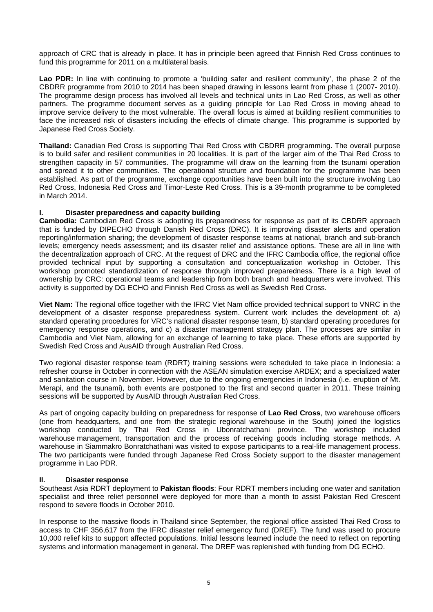approach of CRC that is already in place. It has in principle been agreed that Finnish Red Cross continues to fund this programme for 2011 on a multilateral basis.

Lao PDR: In line with continuing to promote a 'building safer and resilient community', the phase 2 of the CBDRR programme from 2010 to 2014 has been shaped drawing in lessons learnt from phase 1 (2007- 2010). The programme design process has involved all levels and technical units in Lao Red Cross, as well as other partners. The programme document serves as a guiding principle for Lao Red Cross in moving ahead to improve service delivery to the most vulnerable. The overall focus is aimed at building resilient communities to face the increased risk of disasters including the effects of climate change. This programme is supported by Japanese Red Cross Society.

**Thailand:** Canadian Red Cross is supporting Thai Red Cross with CBDRR programming. The overall purpose is to build safer and resilient communities in 20 localities. It is part of the larger aim of the Thai Red Cross to strengthen capacity in 57 communities. The programme will draw on the learning from the tsunami operation and spread it to other communities. The operational structure and foundation for the programme has been established. As part of the programme, exchange opportunities have been built into the structure involving Lao Red Cross, Indonesia Red Cross and Timor-Leste Red Cross. This is a 39-month programme to be completed in March 2014.

#### **I. Disaster preparedness and capacity building**

**Cambodia:** Cambodian Red Cross is adopting its preparedness for response as part of its CBDRR approach that is funded by DIPECHO through Danish Red Cross (DRC). It is improving disaster alerts and operation reporting/information sharing; the development of disaster response teams at national, branch and sub-branch levels; emergency needs assessment; and its disaster relief and assistance options. These are all in line with the decentralization approach of CRC. At the request of DRC and the IFRC Cambodia office, the regional office provided technical input by supporting a consultation and conceptualization workshop in October. This workshop promoted standardization of response through improved preparedness. There is a high level of ownership by CRC: operational teams and leadership from both branch and headquarters were involved. This activity is supported by DG ECHO and Finnish Red Cross as well as Swedish Red Cross.

**Viet Nam:** The regional office together with the IFRC Viet Nam office provided technical support to VNRC in the development of a disaster response preparedness system. Current work includes the development of: a) standard operating procedures for VRC's national disaster response team, b) standard operating procedures for emergency response operations, and c) a disaster management strategy plan. The processes are similar in Cambodia and Viet Nam, allowing for an exchange of learning to take place. These efforts are supported by Swedish Red Cross and AusAID through Australian Red Cross.

Two regional disaster response team (RDRT) training sessions were scheduled to take place in Indonesia: a refresher course in October in connection with the ASEAN simulation exercise ARDEX; and a specialized water and sanitation course in November. However, due to the ongoing emergencies in Indonesia (i.e. eruption of Mt. Merapi, and the tsunami), both events are postponed to the first and second quarter in 2011. These training sessions will be supported by AusAID through Australian Red Cross.

As part of ongoing capacity building on preparedness for response of **Lao Red Cross**, two warehouse officers (one from headquarters, and one from the strategic regional warehouse in the South) joined the logistics workshop conducted by Thai Red Cross in Ubonratchathani province. The workshop included warehouse management, transportation and the process of receiving goods including storage methods. A warehouse in Siammakro Bonratchathani was visited to expose participants to a real-life management process. The two participants were funded through Japanese Red Cross Society support to the disaster management programme in Lao PDR.

#### **II. Disaster response**

Southeast Asia RDRT deployment to **Pakistan floods**: Four RDRT members including one water and sanitation specialist and three relief personnel were deployed for more than a month to assist Pakistan Red Crescent respond to severe floods in October 2010.

In response to the massive floods in Thailand since September, the regional office assisted Thai Red Cross to access to CHF 356,617 from the IFRC disaster relief emergency fund (DREF). The fund was used to procure 10,000 relief kits to support affected populations. Initial lessons learned include the need to reflect on reporting systems and information management in general. The DREF was replenished with funding from DG ECHO.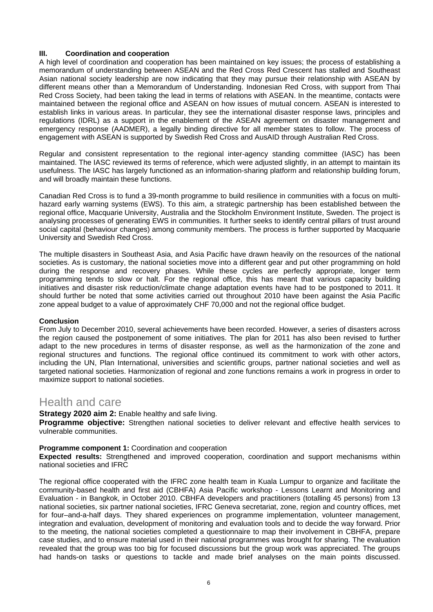#### **III. Coordination and cooperation**

A high level of coordination and cooperation has been maintained on key issues; the process of establishing a memorandum of understanding between ASEAN and the Red Cross Red Crescent has stalled and Southeast Asian national society leadership are now indicating that they may pursue their relationship with ASEAN by different means other than a Memorandum of Understanding. Indonesian Red Cross, with support from Thai Red Cross Society, had been taking the lead in terms of relations with ASEAN. In the meantime, contacts were maintained between the regional office and ASEAN on how issues of mutual concern. ASEAN is interested to establish links in various areas. In particular, they see the international disaster response laws, principles and regulations (IDRL) as a support in the enablement of the ASEAN agreement on disaster management and emergency response (AADMER), a legally binding directive for all member states to follow. The process of engagement with ASEAN is supported by Swedish Red Cross and AusAID through Australian Red Cross.

Regular and consistent representation to the regional inter-agency standing committee (IASC) has been maintained. The IASC reviewed its terms of reference, which were adjusted slightly, in an attempt to maintain its usefulness. The IASC has largely functioned as an information-sharing platform and relationship building forum, and will broadly maintain these functions.

Canadian Red Cross is to fund a 39-month programme to build resilience in communities with a focus on multihazard early warning systems (EWS). To this aim, a strategic partnership has been established between the regional office, Macquarie University, Australia and the Stockholm Environment Institute, Sweden. The project is analysing processes of generating EWS in communities. It further seeks to identify central pillars of trust around social capital (behaviour changes) among community members. The process is further supported by Macquarie University and Swedish Red Cross.

The multiple disasters in Southeast Asia, and Asia Pacific have drawn heavily on the resources of the national societies. As is customary, the national societies move into a different gear and put other programming on hold during the response and recovery phases. While these cycles are perfectly appropriate, longer term programming tends to slow or halt. For the regional office, this has meant that various capacity building initiatives and disaster risk reduction/climate change adaptation events have had to be postponed to 2011. It should further be noted that some activities carried out throughout 2010 have been against the Asia Pacific zone appeal budget to a value of approximately CHF 70,000 and not the regional office budget.

#### **Conclusion**

From July to December 2010, several achievements have been recorded. However, a series of disasters across the region caused the postponement of some initiatives. The plan for 2011 has also been revised to further adapt to the new procedures in terms of disaster response, as well as the harmonization of the zone and regional structures and functions. The regional office continued its commitment to work with other actors, including the UN, Plan International, universities and scientific groups, partner national societies and well as targeted national societies. Harmonization of regional and zone functions remains a work in progress in order to maximize support to national societies.

### Health and care

#### **Strategy 2020 aim 2:** Enable healthy and safe living.

**Programme objective:** Strengthen national societies to deliver relevant and effective health services to vulnerable communities.

#### **Programme component 1:** Coordination and cooperation

**Expected results:** Strengthened and improved cooperation, coordination and support mechanisms within national societies and IFRC

The regional office cooperated with the IFRC zone health team in Kuala Lumpur to organize and facilitate the community-based health and first aid (CBHFA) Asia Pacific workshop - Lessons Learnt and Monitoring and Evaluation - in Bangkok, in October 2010. CBHFA developers and practitioners (totalling 45 persons) from 13 national societies, six partner national societies, IFRC Geneva secretariat, zone, region and country offices, met for four–and-a-half days. They shared experiences on programme implementation, volunteer management, integration and evaluation, development of monitoring and evaluation tools and to decide the way forward. Prior to the meeting, the national societies completed a questionnaire to map their involvement in CBHFA, prepare case studies, and to ensure material used in their national programmes was brought for sharing. The evaluation revealed that the group was too big for focused discussions but the group work was appreciated. The groups had hands-on tasks or questions to tackle and made brief analyses on the main points discussed.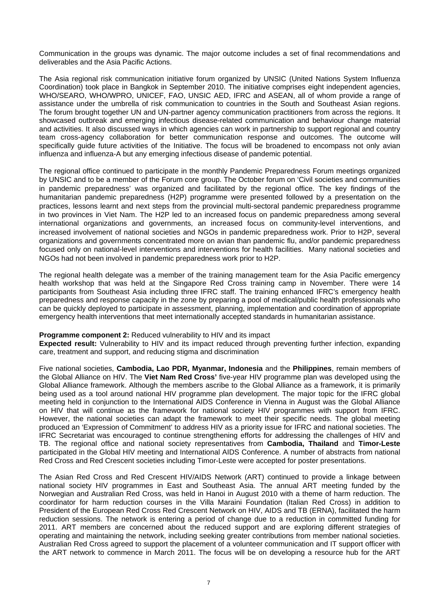Communication in the groups was dynamic. The major outcome includes a set of final recommendations and deliverables and the Asia Pacific Actions.

The Asia regional risk communication initiative forum organized by UNSIC (United Nations System Influenza Coordination) took place in Bangkok in September 2010. The initiative comprises eight independent agencies, WHO/SEARO, WHO/WPRO, UNICEF, FAO, UNSIC AED, IFRC and ASEAN, all of whom provide a range of assistance under the umbrella of risk communication to countries in the South and Southeast Asian regions. The forum brought together UN and UN-partner agency communication practitioners from across the regions. It showcased outbreak and emerging infectious disease-related communication and behaviour change material and activities. It also discussed ways in which agencies can work in partnership to support regional and country team cross-agency collaboration for better communication response and outcomes. The outcome will specifically guide future activities of the Initiative. The focus will be broadened to encompass not only avian influenza and influenza-A but any emerging infectious disease of pandemic potential.

The regional office continued to participate in the monthly Pandemic Preparedness Forum meetings organized by UNSIC and to be a member of the Forum core group. The October forum on 'Civil societies and communities in pandemic preparedness' was organized and facilitated by the regional office. The key findings of the humanitarian pandemic preparedness (H2P) programme were presented followed by a presentation on the practices, lessons learnt and next steps from the provincial multi-sectoral pandemic preparedness programme in two provinces in Viet Nam. The H2P led to an increased focus on pandemic preparedness among several international organizations and governments, an increased focus on community-level interventions, and increased involvement of national societies and NGOs in pandemic preparedness work. Prior to H2P, several organizations and governments concentrated more on avian than pandemic flu, and/or pandemic preparedness focused only on national-level interventions and interventions for health facilities. Many national societies and NGOs had not been involved in pandemic preparedness work prior to H2P.

The regional health delegate was a member of the training management team for the Asia Pacific emergency health workshop that was held at the Singapore Red Cross training camp in November. There were 14 participants from Southeast Asia including three IFRC staff. The training enhanced IFRC's emergency health preparedness and response capacity in the zone by preparing a pool of medical/public health professionals who can be quickly deployed to participate in assessment, planning, implementation and coordination of appropriate emergency health interventions that meet internationally accepted standards in humanitarian assistance.

#### **Programme component 2: Reduced vulnerability to HIV and its impact**

**Expected result:** Vulnerability to HIV and its impact reduced through preventing further infection, expanding care, treatment and support, and reducing stigma and discrimination

Five national societies, **Cambodia, Lao PDR, Myanmar, Indonesia** and the **Philippines**, remain members of the Global Alliance on HIV. The **Viet Nam Red Cross'** five-year HIV programme plan was developed using the Global Alliance framework. Although the members ascribe to the Global Alliance as a framework, it is primarily being used as a tool around national HIV programme plan development. The major topic for the IFRC global meeting held in conjunction to the International AIDS Conference in Vienna in August was the Global Alliance on HIV that will continue as the framework for national society HIV programmes with support from IFRC. However, the national societies can adapt the framework to meet their specific needs. The global meeting produced an 'Expression of Commitment' to address HIV as a priority issue for IFRC and national societies. The IFRC Secretariat was encouraged to continue strengthening efforts for addressing the challenges of HIV and TB. The regional office and national society representatives from **Cambodia, Thailand** and **Timor-Leste** participated in the Global HIV meeting and International AIDS Conference. A number of abstracts from national Red Cross and Red Crescent societies including Timor-Leste were accepted for poster presentations.

The Asian Red Cross and Red Crescent HIV/AIDS Network (ART) continued to provide a linkage between national society HIV programmes in East and Southeast Asia. The annual ART meeting funded by the Norwegian and Australian Red Cross, was held in Hanoi in August 2010 with a theme of harm reduction. The coordinator for harm reduction courses in the Villa Maraini Foundation (Italian Red Cross) in addition to President of the European Red Cross Red Crescent Network on HIV, AIDS and TB (ERNA), facilitated the harm reduction sessions. The network is entering a period of change due to a reduction in committed funding for 2011. ART members are concerned about the reduced support and are exploring different strategies of operating and maintaining the network, including seeking greater contributions from member national societies. Australian Red Cross agreed to support the placement of a volunteer communication and IT support officer with the ART network to commence in March 2011. The focus will be on developing a resource hub for the ART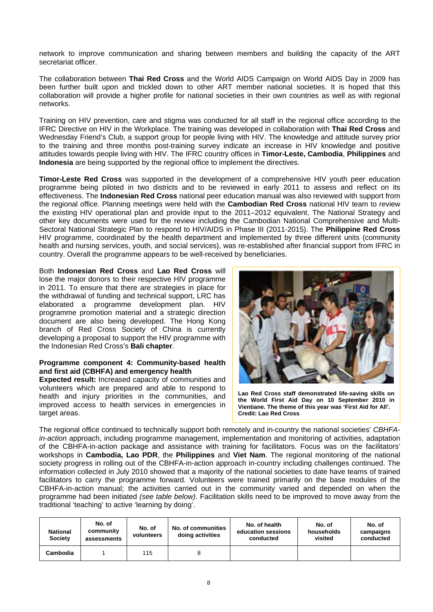network to improve communication and sharing between members and building the capacity of the ART secretariat officer.

The collaboration between **Thai Red Cross** and the World AIDS Campaign on World AIDS Day in 2009 has been further built upon and trickled down to other ART member national societies. It is hoped that this collaboration will provide a higher profile for national societies in their own countries as well as with regional networks.

Training on HIV prevention, care and stigma was conducted for all staff in the regional office according to the IFRC Directive on HIV in the Workplace. The training was developed in collaboration with **Thai Red Cross** and Wednesday Friend's Club, a support group for people living with HIV. The knowledge and attitude survey prior to the training and three months post-training survey indicate an increase in HIV knowledge and positive attitudes towards people living with HIV. The IFRC country offices in **Timor-Leste, Cambodia**, **Philippines** and **Indonesia** are being supported by the regional office to implement the directives.

**Timor-Leste Red Cross** was supported in the development of a comprehensive HIV youth peer education programme being piloted in two districts and to be reviewed in early 2011 to assess and reflect on its effectiveness. The **Indonesian Red Cross** national peer education manual was also reviewed with support from the regional office. Planning meetings were held with the **Cambodian Red Cross** national HIV team to review the existing HIV operational plan and provide input to the 2011–2012 equivalent. The National Strategy and other key documents were used for the review including the Cambodian National Comprehensive and Multi-Sectoral National Strategic Plan to respond to HIV/AIDS in Phase III (2011-2015). The **Philippine Red Cross** HIV programme, coordinated by the health department and implemented by three different units (community health and nursing services, youth, and social services), was re-established after financial support from IFRC in country. Overall the programme appears to be well-received by beneficiaries.

Both **Indonesian Red Cross** and **Lao Red Cross** will lose the major donors to their respective HIV programme in 2011. To ensure that there are strategies in place for the withdrawal of funding and technical support, LRC has elaborated a programme development plan. HIV programme promotion material and a strategic direction document are also being developed. The Hong Kong branch of Red Cross Society of China is currently developing a proposal to support the HIV programme with the Indonesian Red Cross's **Bali chapter**.

#### **Programme component 4: Community-based health and first aid (CBHFA) and emergency health**

**Expected result:** Increased capacity of communities and volunteers which are prepared and able to respond to health and injury priorities in the communities, and improved access to health services in emergencies in target areas.



**Lao Red Cross staff demonstrated life-saving skills on the World First Aid Day on 10 September 2010 in Vientiane. The theme of this year was 'First Aid for All'. Credit: Lao Red Cross** 

The regional office continued to technically support both remotely and in-country the national societies' *CBHFAin-action* approach, including programme management, implementation and monitoring of activities, adaptation of the CBHFA-in-action package and assistance with training for facilitators. Focus was on the facilitators' workshops in **Cambodia, Lao PDR**, the **Philippines** and **Viet Nam**. The regional monitoring of the national society progress in rolling out of the CBHFA-in-action approach in-country including challenges continued. The information collected in July 2010 showed that a majority of the national societies to date have teams of trained facilitators to carry the programme forward. Volunteers were trained primarily on the base modules of the CBHFA-in-action manual; the activities carried out in the community varied and depended on when the programme had been initiated *(see table below)*. Facilitation skills need to be improved to move away from the traditional 'teaching' to active 'learning by doing'.

| <b>National</b><br>Society | No. of<br>community<br>assessments | No. of<br>volunteers | No. of communities<br>doing activities | No. of health<br>education sessions<br>conducted | No. of<br>households<br>visited | No. of<br>campaigns<br>conducted |
|----------------------------|------------------------------------|----------------------|----------------------------------------|--------------------------------------------------|---------------------------------|----------------------------------|
| Cambodia                   |                                    | 115                  |                                        |                                                  |                                 |                                  |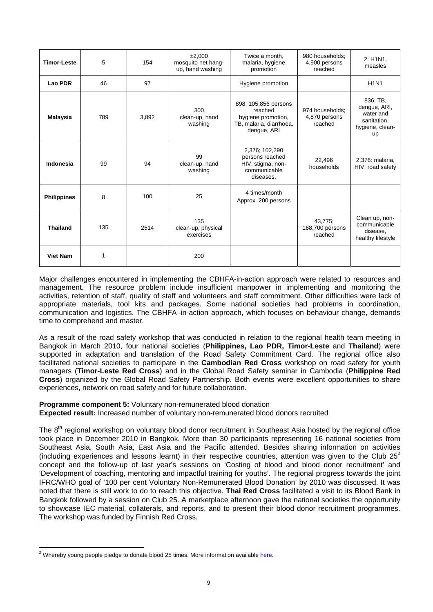| <b>Timor-Leste</b> | 5   | 154   | ±2.000<br>mosquito net hang-<br>up, hand washing | Twice a month,<br>malaria, hygiene<br>promotion                                                 |                                             | 2: H1N1.<br>measles                                                                  |
|--------------------|-----|-------|--------------------------------------------------|-------------------------------------------------------------------------------------------------|---------------------------------------------|--------------------------------------------------------------------------------------|
| Lao PDR            | 46  | 97    |                                                  | Hygiene promotion                                                                               |                                             | <b>H1N1</b>                                                                          |
| <b>Malaysia</b>    | 789 | 3,892 | 300<br>clean-up, hand<br>washing                 | 898; 105,856 persons<br>reached<br>hygiene promotion,<br>TB, malaria, diarrhoea,<br>dengue, ARI | 974 households:<br>4,870 persons<br>reached | 836: TB.<br>dengue, ARI,<br>water and<br>sanitation,<br>hygiene, clean-<br><b>up</b> |
| Indonesia          | 99  | 94    | 99<br>clean-up, hand<br>washing                  | 2,376; 102,290<br>persons reached<br>HIV, stigma, non-<br>communicable<br>diseases,             | 22,496<br>households                        | 2,376: malaria,<br>HIV, road safety                                                  |
| <b>Philippines</b> | 8   | 100   | 25                                               | 4 times/month<br>Approx. 200 persons                                                            |                                             |                                                                                      |
| <b>Thailand</b>    | 135 | 2514  | 135<br>clean-up, physical<br>exercises           |                                                                                                 | 43,775;<br>168,700 persons<br>reached       | Clean up, non-<br>communicable<br>disease,<br>healthy lifestyle                      |
| <b>Viet Nam</b>    | 1   |       | 200                                              |                                                                                                 |                                             |                                                                                      |

Major challenges encountered in implementing the CBHFA-in-action approach were related to resources and management. The resource problem include insufficient manpower in implementing and monitoring the activities, retention of staff, quality of staff and volunteers and staff commitment. Other difficulties were lack of appropriate materials, tool kits and packages. Some national societies had problems in coordination, communication and logistics. The CBHFA–in-action approach, which focuses on behaviour change, demands time to comprehend and master.

As a result of the road safety workshop that was conducted in relation to the regional health team meeting in Bangkok in March 2010, four national societies (**Philippines, Lao PDR, Timor-Leste** and **Thailand**) were supported in adaptation and translation of the Road Safety Commitment Card. The regional office also facilitated national societies to participate in the **Cambodian Red Cross** workshop on road safety for youth managers (**Timor-Leste Red Cross**) and in the Global Road Safety seminar in Cambodia (**Philippine Red Cross**) organized by the Global Road Safety Partnership. Both events were excellent opportunities to share experiences, network on road safety and for future collaboration.

**Programme component 5:** Voluntary non-remunerated blood donation

**Expected result:** Increased number of voluntary non-remunerated blood donors recruited

The  $8<sup>th</sup>$  regional workshop on voluntary blood donor recruitment in Southeast Asia hosted by the regional office took place in December 2010 in Bangkok. More than 30 participants representing 16 national societies from Southeast Asia, South Asia, East Asia and the Pacific attended. Besides sharing information on activities (including experiences and lessons learnt) in their respective countries, attention was given to the Club  $25<sup>2</sup>$ concept and the follow-up of last year's sessions on 'Costing of blood and blood donor recruitment' and 'Development of coaching, mentoring and impactful training for youths'. The regional progress towards the joint IFRC/WHO goal of '100 per cent Voluntary Non-Remunerated Blood Donation' by 2010 was discussed. It was noted that there is still work to do to reach this objective. **Thai Red Cross** facilitated a visit to its Blood Bank in Bangkok followed by a session on Club 25. A marketplace afternoon gave the national societies the opportunity to showcase IEC material, collaterals, and reports, and to present their blood donor recruitment programmes. The workshop was funded by Finnish Red Cross.

 $\overline{a}$ 

<sup>&</sup>lt;sup>2</sup> Whereby young people pledge to donate blood 25 times. More information available [here.](http://www.ifrc.org/youth/action/health/club25/)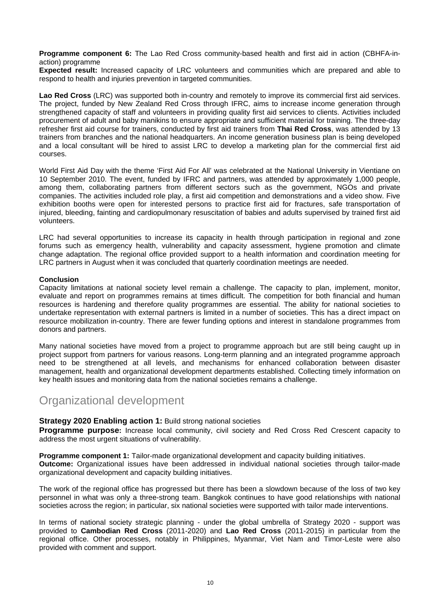**Programme component 6:** The Lao Red Cross community-based health and first aid in action (CBHFA-inaction) programme

**Expected result:** Increased capacity of LRC volunteers and communities which are prepared and able to respond to health and injuries prevention in targeted communities.

**Lao Red Cross** (LRC) was supported both in-country and remotely to improve its commercial first aid services. The project, funded by New Zealand Red Cross through IFRC, aims to increase income generation through strengthened capacity of staff and volunteers in providing quality first aid services to clients. Activities included procurement of adult and baby manikins to ensure appropriate and sufficient material for training. The three-day refresher first aid course for trainers, conducted by first aid trainers from **Thai Red Cross**, was attended by 13 trainers from branches and the national headquarters. An income generation business plan is being developed and a local consultant will be hired to assist LRC to develop a marketing plan for the commercial first aid courses.

World First Aid Day with the theme 'First Aid For All' was celebrated at the National University in Vientiane on 10 September 2010. The event, funded by IFRC and partners, was attended by approximately 1,000 people, among them, collaborating partners from different sectors such as the government, NGOs and private companies. The activities included role play, a first aid competition and demonstrations and a video show. Five exhibition booths were open for interested persons to practice first aid for fractures, safe transportation of injured, bleeding, fainting and cardiopulmonary resuscitation of babies and adults supervised by trained first aid volunteers.

LRC had several opportunities to increase its capacity in health through participation in regional and zone forums such as emergency health, vulnerability and capacity assessment, hygiene promotion and climate change adaptation. The regional office provided support to a health information and coordination meeting for LRC partners in August when it was concluded that quarterly coordination meetings are needed.

#### **Conclusion**

Capacity limitations at national society level remain a challenge. The capacity to plan, implement, monitor, evaluate and report on programmes remains at times difficult. The competition for both financial and human resources is hardening and therefore quality programmes are essential. The ability for national societies to undertake representation with external partners is limited in a number of societies. This has a direct impact on resource mobilization in-country. There are fewer funding options and interest in standalone programmes from donors and partners.

Many national societies have moved from a project to programme approach but are still being caught up in project support from partners for various reasons. Long-term planning and an integrated programme approach need to be strengthened at all levels, and mechanisms for enhanced collaboration between disaster management, health and organizational development departments established. Collecting timely information on key health issues and monitoring data from the national societies remains a challenge.

### Organizational development

#### **Strategy 2020 Enabling action 1:** Build strong national societies

**Programme purpose:** Increase local community, civil society and Red Cross Red Crescent capacity to address the most urgent situations of vulnerability.

**Programme component 1:** Tailor-made organizational development and capacity building initiatives.

**Outcome:** Organizational issues have been addressed in individual national societies through tailor-made organizational development and capacity building initiatives.

The work of the regional office has progressed but there has been a slowdown because of the loss of two key personnel in what was only a three-strong team. Bangkok continues to have good relationships with national societies across the region; in particular, six national societies were supported with tailor made interventions.

In terms of national society strategic planning - under the global umbrella of Strategy 2020 - support was provided to **Cambodian Red Cross** (2011-2020) and **Lao Red Cross** (2011-2015) in particular from the regional office. Other processes, notably in Philippines, Myanmar, Viet Nam and Timor-Leste were also provided with comment and support.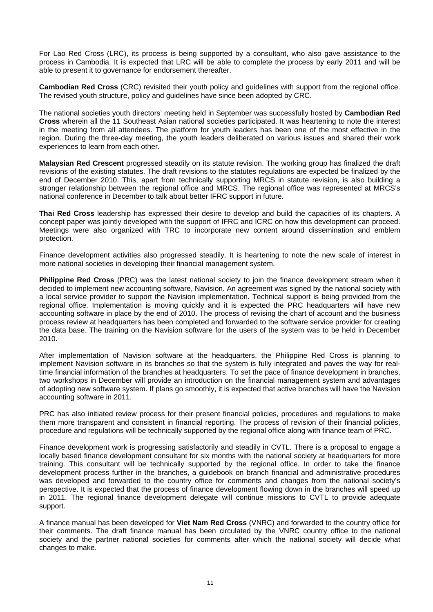For Lao Red Cross (LRC), its process is being supported by a consultant, who also gave assistance to the process in Cambodia. It is expected that LRC will be able to complete the process by early 2011 and will be able to present it to governance for endorsement thereafter.

**Cambodian Red Cross** (CRC) revisited their youth policy and guidelines with support from the regional office. The revised youth structure, policy and guidelines have since been adopted by CRC.

The national societies youth directors' meeting held in September was successfully hosted by **Cambodian Red Cross** wherein all the 11 Southeast Asian national societies participated. It was heartening to note the interest in the meeting from all attendees. The platform for youth leaders has been one of the most effective in the region. During the three-day meeting, the youth leaders deliberated on various issues and shared their work experiences to learn from each other.

**Malaysian Red Crescent** progressed steadily on its statute revision. The working group has finalized the draft revisions of the existing statutes. The draft revisions to the statutes regulations are expected be finalized by the end of December 2010. This, apart from technically supporting MRCS in statute revision, is also building a stronger relationship between the regional office and MRCS. The regional office was represented at MRCS's national conference in December to talk about better IFRC support in future.

**Thai Red Cross** leadership has expressed their desire to develop and build the capacities of its chapters. A concept paper was jointly developed with the support of IFRC and ICRC on how this development can proceed. Meetings were also organized with TRC to incorporate new content around dissemination and emblem protection.

Finance development activities also progressed steadily. It is heartening to note the new scale of interest in more national societies in developing their financial management system.

**Philippine Red Cross** (PRC) was the latest national society to join the finance development stream when it decided to implement new accounting software, Navision. An agreement was signed by the national society with a local service provider to support the Navision implementation. Technical support is being provided from the regional office. Implementation is moving quickly and it is expected the PRC headquarters will have new accounting software in place by the end of 2010. The process of revising the chart of account and the business process review at headquarters has been completed and forwarded to the software service provider for creating the data base. The training on the Navision software for the users of the system was to be held in December 2010.

After implementation of Navision software at the headquarters, the Philippine Red Cross is planning to implement Navision software in its branches so that the system is fully integrated and paves the way for realtime financial information of the branches at headquarters. To set the pace of finance development in branches, two workshops in December will provide an introduction on the financial management system and advantages of adopting new software system. If plans go smoothly, it is expected that active branches will have the Navision accounting software in 2011.

PRC has also initiated review process for their present financial policies, procedures and regulations to make them more transparent and consistent in financial reporting. The process of revision of their financial policies, procedure and regulations will be technically supported by the regional office along with finance team of PRC.

Finance development work is progressing satisfactorily and steadily in CVTL. There is a proposal to engage a locally based finance development consultant for six months with the national society at headquarters for more training. This consultant will be technically supported by the regional office. In order to take the finance development process further in the branches, a guidebook on branch financial and administrative procedures was developed and forwarded to the country office for comments and changes from the national society's perspective. It is expected that the process of finance development flowing down in the branches will speed up in 2011. The regional finance development delegate will continue missions to CVTL to provide adequate support.

A finance manual has been developed for **Viet Nam Red Cross** (VNRC) and forwarded to the country office for their comments. The draft finance manual has been circulated by the VNRC country office to the national society and the partner national societies for comments after which the national society will decide what changes to make.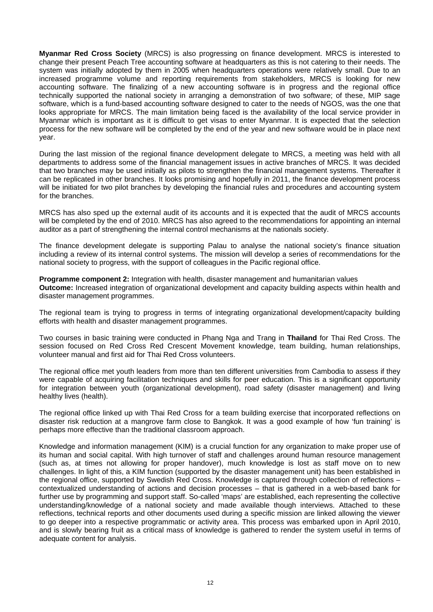**Myanmar Red Cross Society** (MRCS) is also progressing on finance development. MRCS is interested to change their present Peach Tree accounting software at headquarters as this is not catering to their needs. The system was initially adopted by them in 2005 when headquarters operations were relatively small. Due to an increased programme volume and reporting requirements from stakeholders, MRCS is looking for new accounting software. The finalizing of a new accounting software is in progress and the regional office technically supported the national society in arranging a demonstration of two software; of these, MIP sage software, which is a fund-based accounting software designed to cater to the needs of NGOS, was the one that looks appropriate for MRCS. The main limitation being faced is the availability of the local service provider in Myanmar which is important as it is difficult to get visas to enter Myanmar. It is expected that the selection process for the new software will be completed by the end of the year and new software would be in place next year.

During the last mission of the regional finance development delegate to MRCS, a meeting was held with all departments to address some of the financial management issues in active branches of MRCS. It was decided that two branches may be used initially as pilots to strengthen the financial management systems. Thereafter it can be replicated in other branches. It looks promising and hopefully in 2011, the finance development process will be initiated for two pilot branches by developing the financial rules and procedures and accounting system for the branches.

MRCS has also sped up the external audit of its accounts and it is expected that the audit of MRCS accounts will be completed by the end of 2010. MRCS has also agreed to the recommendations for appointing an internal auditor as a part of strengthening the internal control mechanisms at the nationals society.

The finance development delegate is supporting Palau to analyse the national society's finance situation including a review of its internal control systems. The mission will develop a series of recommendations for the national society to progress, with the support of colleagues in the Pacific regional office.

**Programme component 2:** Integration with health, disaster management and humanitarian values **Outcome:** Increased integration of organizational development and capacity building aspects within health and disaster management programmes.

The regional team is trying to progress in terms of integrating organizational development/capacity building efforts with health and disaster management programmes.

Two courses in basic training were conducted in Phang Nga and Trang in **Thailand** for Thai Red Cross. The session focused on Red Cross Red Crescent Movement knowledge, team building, human relationships, volunteer manual and first aid for Thai Red Cross volunteers.

The regional office met youth leaders from more than ten different universities from Cambodia to assess if they were capable of acquiring facilitation techniques and skills for peer education. This is a significant opportunity for integration between youth (organizational development), road safety (disaster management) and living healthy lives (health).

The regional office linked up with Thai Red Cross for a team building exercise that incorporated reflections on disaster risk reduction at a mangrove farm close to Bangkok. It was a good example of how 'fun training' is perhaps more effective than the traditional classroom approach.

Knowledge and information management (KIM) is a crucial function for any organization to make proper use of its human and social capital. With high turnover of staff and challenges around human resource management (such as, at times not allowing for proper handover), much knowledge is lost as staff move on to new challenges. In light of this, a KIM function (supported by the disaster management unit) has been established in the regional office, supported by Swedish Red Cross. Knowledge is captured through collection of reflections – contextualized understanding of actions and decision processes – that is gathered in a web-based bank for further use by programming and support staff. So-called 'maps' are established, each representing the collective understanding/knowledge of a national society and made available though interviews. Attached to these reflections, technical reports and other documents used during a specific mission are linked allowing the viewer to go deeper into a respective programmatic or activity area. This process was embarked upon in April 2010, and is slowly bearing fruit as a critical mass of knowledge is gathered to render the system useful in terms of adequate content for analysis.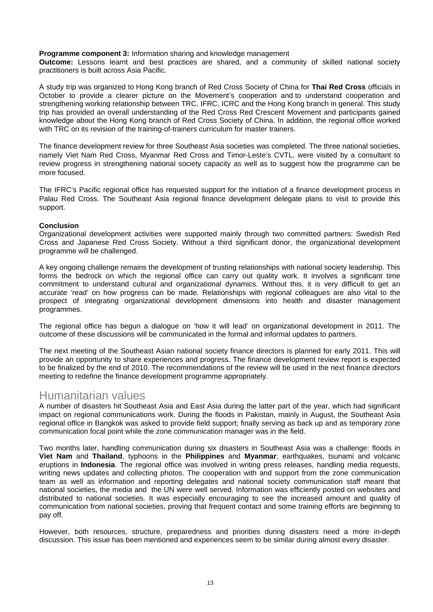**Programme component 3:** Information sharing and knowledge management

**Outcome:** Lessons learnt and best practices are shared, and a community of skilled national society practitioners is built across Asia Pacific.

A study trip was organized to Hong Kong branch of Red Cross Society of China for **Thai Red Cross** officials in October to provide a clearer picture on the Movement's cooperation and to understand cooperation and strengthening working relationship between TRC, IFRC, ICRC and the Hong Kong branch in general. This study trip has provided an overall understanding of the Red Cross Red Crescent Movement and participants gained knowledge about the Hong Kong branch of Red Cross Society of China. In addition, the regional office worked with TRC on its revision of the training-of-trainers curriculum for master trainers.

The finance development review for three Southeast Asia societies was completed. The three national societies, namely Viet Nam Red Cross, Myanmar Red Cross and Timor-Leste's CVTL, were visited by a consultant to review progress in strengthening national society capacity as well as to suggest how the programme can be more focused.

The IFRC's Pacific regional office has requested support for the initiation of a finance development process in Palau Red Cross. The Southeast Asia regional finance development delegate plans to visit to provide this support.

#### **Conclusion**

Organizational development activities were supported mainly through two committed partners: Swedish Red Cross and Japanese Red Cross Society. Without a third significant donor, the organizational development programme will be challenged.

A key ongoing challenge remains the development of trusting relationships with national society leadership. This forms the bedrock on which the regional office can carry out quality work. It involves a significant time commitment to understand cultural and organizational dynamics. Without this, it is very difficult to get an accurate 'read' on how progress can be made. Relationships with regional colleagues are also vital to the prospect of integrating organizational development dimensions into health and disaster management programmes.

The regional office has begun a dialogue on 'how it will lead' on organizational development in 2011. The outcome of these discussions will be communicated in the formal and informal updates to partners.

The next meeting of the Southeast Asian national society finance directors is planned for early 2011. This will provide an opportunity to share experiences and progress. The finance development review report is expected to be finalized by the end of 2010. The recommendations of the review will be used in the next finance directors meeting to redefine the finance development programme appropriately.

### Humanitarian values

A number of disasters hit Southeast Asia and East Asia during the latter part of the year, which had significant impact on regional communications work. During the floods in Pakistan, mainly in August, the Southeast Asia regional office in Bangkok was asked to provide field support; finally serving as back up and as temporary zone communication focal point while the zone communication manager was in the field.

Two months later, handling communication during six disasters in Southeast Asia was a challenge: floods in **Viet Nam** and **Thailand**, typhoons in the **Philippines** and **Myanmar**; earthquakes, tsunami and volcanic eruptions in **Indonesia**. The regional office was involved in writing press releases, handling media requests, writing news updates and collecting photos. The cooperation with and support from the zone communication team as well as information and reporting delegates and national society communication staff meant that national societies, the media and the UN were well served. Information was efficiently posted on websites and distributed to national societies. It was especially encouraging to see the increased amount and quality of communication from national societies, proving that frequent contact and some training efforts are beginning to pay off.

However, both resources, structure, preparedness and priorities during disasters need a more in-depth discussion. This issue has been mentioned and experiences seem to be similar during almost every disaster.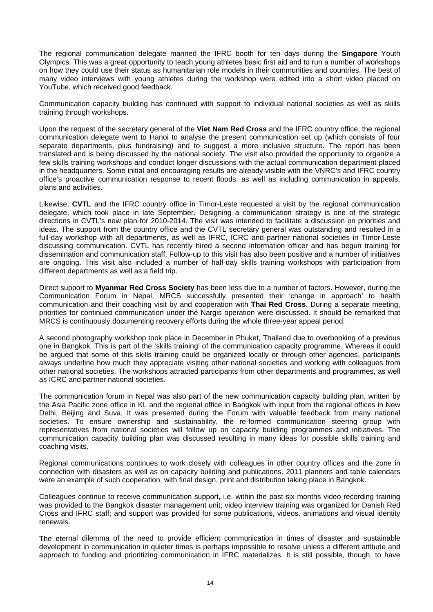The regional communication delegate manned the IFRC booth for ten days during the **Singapore** Youth Olympics. This was a great opportunity to teach young athletes basic first aid and to run a number of workshops on how they could use their status as humanitarian role models in their communities and countries. The best of many video interviews with young athletes during the workshop were edited into a short video placed on YouTube, which received good feedback.

Communication capacity building has continued with support to individual national societies as well as skills training through workshops.

Upon the request of the secretary general of the **Viet Nam Red Cross** and the IFRC country office, the regional communication delegate went to Hanoi to analyse the present communication set up (which consists of four separate departments, plus fundraising) and to suggest a more inclusive structure. The report has been translated and is being discussed by the national society. The visit also provided the opportunity to organize a few skills training workshops and conduct longer discussions with the actual communication department placed in the headquarters. Some initial and encouraging results are already visible with the VNRC's and IFRC country office's proactive communication response to recent floods, as well as including communication in appeals, plans and activities.

Likewise, **CVTL** and the IFRC country office in Timor-Leste requested a visit by the regional communication delegate, which took place in late September. Designing a communication strategy is one of the strategic directions in CVTL's new plan for 2010-2014. The visit was intended to facilitate a discussion on priorities and ideas. The support from the country office and the CVTL secretary general was outstanding and resulted in a full-day workshop with all departments, as well as IFRC, ICRC and partner national societies in Timor-Leste discussing communication. CVTL has recently hired a second information officer and has begun training for dissemination and communication staff. Follow-up to this visit has also been positive and a number of initiatives are ongoing. This visit also included a number of half-day skills training workshops with participation from different departments as well as a field trip.

Direct support to **Myanmar Red Cross Society** has been less due to a number of factors. However, during the Communication Forum in Nepal, MRCS successfully presented their 'change in approach' to health communication and their coaching visit by and cooperation with **Thai Red Cross**. During a separate meeting, priorities for continued communication under the Nargis operation were discussed. It should be remarked that MRCS is continuously documenting recovery efforts during the whole three-year appeal period.

A second photography workshop took place in December in Phuket, Thailand due to overbooking of a previous one in Bangkok. This is part of the 'skills training' of the communication capacity programme. Whereas it could be argued that some of this skills training could be organized locally or through other agencies, participants always underline how much they appreciate visiting other national societies and working with colleagues from other national societies. The workshops attracted participants from other departments and programmes, as well as ICRC and partner national societies.

The communication forum in Nepal was also part of the new communication capacity building plan, written by the Asia Pacific zone office in KL and the regional office in Bangkok with input from the regional offices in New Delhi, Beijing and Suva. It was presented during the Forum with valuable feedback from many national societies. To ensure ownership and sustainability, the re-formed communication steering group with representatives from national societies will follow up on capacity building programmes and initiatives. The communication capacity building plan was discussed resulting in many ideas for possible skills training and coaching visits.

Regional communications continues to work closely with colleagues in other country offices and the zone in connection with disasters as well as on capacity building and publications. 2011 planners and table calendars were an example of such cooperation, with final design, print and distribution taking place in Bangkok.

Colleagues continue to receive communication support, i.e. within the past six months video recording training was provided to the Bangkok disaster management unit; video interview training was organized for Danish Red Cross and IFRC staff; and support was provided for some publications, videos, animations and visual identity renewals.

The eternal dilemma of the need to provide efficient communication in times of disaster and sustainable development in communication in quieter times is perhaps impossible to resolve unless a different attitude and approach to funding and prioritizing communication in IFRC materializes. It is still possible, though, to have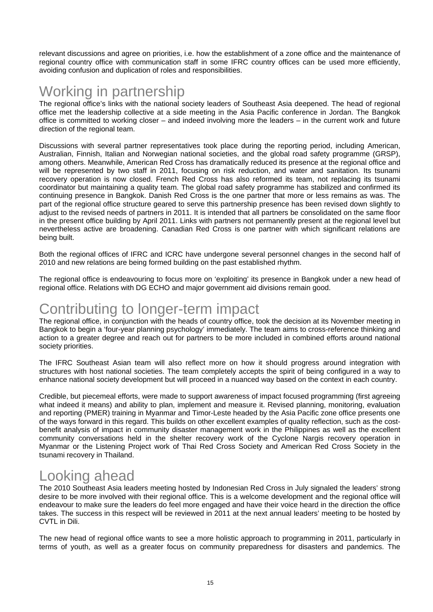relevant discussions and agree on priorities, i.e. how the establishment of a zone office and the maintenance of regional country office with communication staff in some IFRC country offices can be used more efficiently, avoiding confusion and duplication of roles and responsibilities.

# Working in partnership

The regional office's links with the national society leaders of Southeast Asia deepened. The head of regional office met the leadership collective at a side meeting in the Asia Pacific conference in Jordan. The Bangkok office is committed to working closer – and indeed involving more the leaders – in the current work and future direction of the regional team.

Discussions with several partner representatives took place during the reporting period, including American, Australian, Finnish, Italian and Norwegian national societies, and the global road safety programme (GRSP), among others. Meanwhile, American Red Cross has dramatically reduced its presence at the regional office and will be represented by two staff in 2011, focusing on risk reduction, and water and sanitation. Its tsunami recovery operation is now closed. French Red Cross has also reformed its team, not replacing its tsunami coordinator but maintaining a quality team. The global road safety programme has stabilized and confirmed its continuing presence in Bangkok. Danish Red Cross is the one partner that more or less remains as was. The part of the regional office structure geared to serve this partnership presence has been revised down slightly to adjust to the revised needs of partners in 2011. It is intended that all partners be consolidated on the same floor in the present office building by April 2011. Links with partners not permanently present at the regional level but nevertheless active are broadening. Canadian Red Cross is one partner with which significant relations are being built.

Both the regional offices of IFRC and ICRC have undergone several personnel changes in the second half of 2010 and new relations are being formed building on the past established rhythm.

The regional office is endeavouring to focus more on 'exploiting' its presence in Bangkok under a new head of regional office. Relations with DG ECHO and major government aid divisions remain good.

# Contributing to longer-term impact

The regional office, in conjunction with the heads of country office, took the decision at its November meeting in Bangkok to begin a 'four-year planning psychology' immediately. The team aims to cross-reference thinking and action to a greater degree and reach out for partners to be more included in combined efforts around national society priorities.

The IFRC Southeast Asian team will also reflect more on how it should progress around integration with structures with host national societies. The team completely accepts the spirit of being configured in a way to enhance national society development but will proceed in a nuanced way based on the context in each country.

Credible, but piecemeal efforts, were made to support awareness of impact focused programming (first agreeing what indeed it means) and ability to plan, implement and measure it. Revised planning, monitoring, evaluation and reporting (PMER) training in Myanmar and Timor-Leste headed by the Asia Pacific zone office presents one of the ways forward in this regard. This builds on other excellent examples of quality reflection, such as the costbenefit analysis of impact in community disaster management work in the Philippines as well as the excellent community conversations held in the shelter recovery work of the Cyclone Nargis recovery operation in Myanmar or the Listening Project work of Thai Red Cross Society and American Red Cross Society in the tsunami recovery in Thailand.

# Looking ahead

The 2010 Southeast Asia leaders meeting hosted by Indonesian Red Cross in July signaled the leaders' strong desire to be more involved with their regional office. This is a welcome development and the regional office will endeavour to make sure the leaders do feel more engaged and have their voice heard in the direction the office takes. The success in this respect will be reviewed in 2011 at the next annual leaders' meeting to be hosted by CVTL in Dili.

The new head of regional office wants to see a more holistic approach to programming in 2011, particularly in terms of youth, as well as a greater focus on community preparedness for disasters and pandemics. The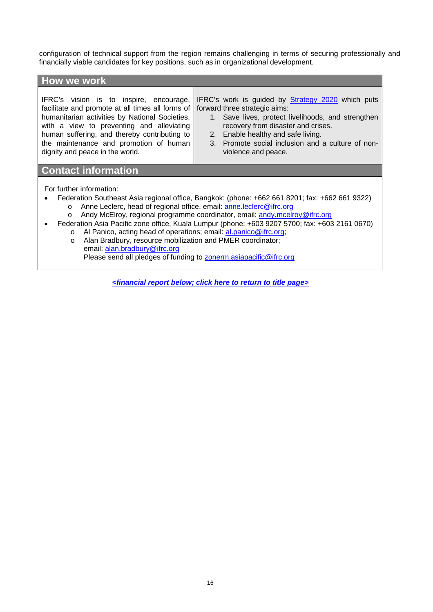configuration of technical support from the region remains challenging in terms of securing professionally and financially viable candidates for key positions, such as in organizational development.

| How we work                                                                                                                                                                                                                                                                                                             |                                                                                                                                                                                                                                                                                                  |
|-------------------------------------------------------------------------------------------------------------------------------------------------------------------------------------------------------------------------------------------------------------------------------------------------------------------------|--------------------------------------------------------------------------------------------------------------------------------------------------------------------------------------------------------------------------------------------------------------------------------------------------|
| IFRC's vision is to inspire, encourage,<br>facilitate and promote at all times all forms of<br>humanitarian activities by National Societies,<br>with a view to preventing and alleviating<br>human suffering, and thereby contributing to<br>the maintenance and promotion of human<br>dignity and peace in the world. | IFRC's work is guided by Strategy 2020 which puts<br>forward three strategic aims:<br>1. Save lives, protect livelihoods, and strengthen<br>recovery from disaster and crises.<br>2. Enable healthy and safe living.<br>3. Promote social inclusion and a culture of non-<br>violence and peace. |
| <b>Contact information</b>                                                                                                                                                                                                                                                                                              |                                                                                                                                                                                                                                                                                                  |

For further information:

- Federation Southeast Asia regional office, Bangkok: (phone: +662 661 8201; fax: +662 661 9322)
	- o Anne Leclerc, head of regional office, email: anne.leclerc@ifrc.org o Andy McElroy, regional programme coordinator, email: andy.mcelroy@ifrc.org
- Federation Asia Pacific zone office, Kuala Lumpur (phone: +603 9207 5700; fax: +603 2161 0670)
	- o Al Panico, acting head of operations; email: al.panico@ifrc.org;
	- o Alan Bradbury, resource mobilization and PMER coordinator; email: alan.bradbury@ifrc.org Please send all pledges of funding to zonerm.asiapacific@ifrc.org

*<financial report below; [click here to return to title page>](#page-0-0)*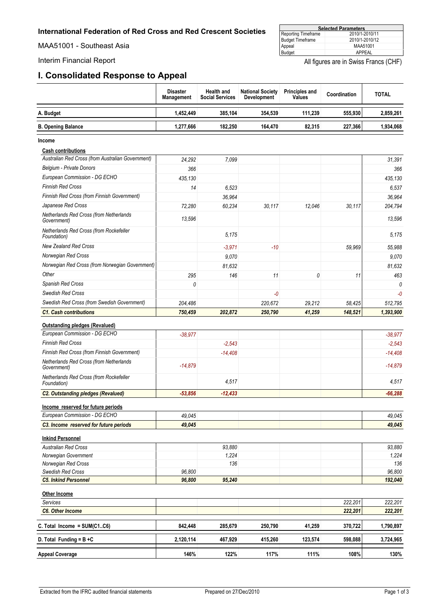<span id="page-16-0"></span>MAA51001 - Southeast Asia

### **I. Consolidated Response to Appeal**

| <b>Selected Parameters</b> |                |  |  |  |  |
|----------------------------|----------------|--|--|--|--|
| Reporting Timeframe        | 2010/1-2010/11 |  |  |  |  |
| <b>Budget Timeframe</b>    | 2010/1-2010/12 |  |  |  |  |
| Appeal                     | MAA51001       |  |  |  |  |
| Budget                     | APPFAL         |  |  |  |  |

Interim Financial Report **All figures** are in Swiss Francs (CHF)

Ť

|                                                                        | <b>Disaster</b><br><b>Management</b> | <b>Health and</b><br><b>Social Services</b> | <b>National Society</b><br><b>Development</b> | <b>Principles and</b><br>Values | Coordination | <b>TOTAL</b> |
|------------------------------------------------------------------------|--------------------------------------|---------------------------------------------|-----------------------------------------------|---------------------------------|--------------|--------------|
| A. Budget                                                              | 1,452,449                            | 385,104                                     | 354,539                                       | 111,239                         | 555,930      | 2,859,261    |
| <b>B. Opening Balance</b>                                              | 1,277,666                            | 182,250                                     | 164,470                                       | 82,315                          | 227,366      | 1,934,068    |
| Income                                                                 |                                      |                                             |                                               |                                 |              |              |
| <b>Cash contributions</b>                                              |                                      |                                             |                                               |                                 |              |              |
| Australian Red Cross (from Australian Government)                      | 24,292                               | 7,099                                       |                                               |                                 |              | 31,391       |
| Belgium - Private Donors                                               | 366                                  |                                             |                                               |                                 |              | 366          |
| European Commission - DG ECHO                                          | 435,130                              |                                             |                                               |                                 |              | 435,130      |
| <b>Finnish Red Cross</b>                                               | 14                                   | 6,523                                       |                                               |                                 |              | 6,537        |
| <b>Finnish Red Cross (from Finnish Government)</b>                     |                                      | 36,964                                      |                                               |                                 |              | 36,964       |
| Japanese Red Cross                                                     | 72,280                               | 60,234                                      | 30,117                                        | 12,046                          | 30,117       | 204,794      |
| Netherlands Red Cross (from Netherlands<br>Government)                 | 13,596                               |                                             |                                               |                                 |              | 13,596       |
| Netherlands Red Cross (from Rockefeller<br>Foundation)                 |                                      | 5.175                                       |                                               |                                 |              | 5.175        |
| <b>New Zealand Red Cross</b>                                           |                                      | $-3,971$                                    | $-10$                                         |                                 | 59,969       | 55,988       |
| Norwegian Red Cross                                                    |                                      | 9,070                                       |                                               |                                 |              | 9,070        |
| Norwegian Red Cross (from Norwegian Government)                        |                                      | 81,632                                      |                                               |                                 |              | 81,632       |
| Other                                                                  | 295                                  | 146                                         | 11                                            | 0                               | 11           | 463          |
| Spanish Red Cross                                                      | 0                                    |                                             |                                               |                                 |              | 0            |
| Swedish Red Cross                                                      |                                      |                                             | -0                                            |                                 |              | $-0$         |
| Swedish Red Cross (from Swedish Government)                            | 204,486                              |                                             | 220,672                                       | 29,212                          | 58,425       | 512,795      |
| <b>C1. Cash contributions</b>                                          | 750,459                              | 202,872                                     | 250,790                                       | 41,259                          | 148,521      | 1,393,900    |
|                                                                        |                                      |                                             |                                               |                                 |              |              |
| <b>Outstanding pledges (Revalued)</b><br>European Commission - DG ECHO |                                      |                                             |                                               |                                 |              |              |
|                                                                        | $-38,977$                            |                                             |                                               |                                 |              | $-38,977$    |
| <b>Finnish Red Cross</b>                                               |                                      | $-2.543$                                    |                                               |                                 |              | $-2,543$     |
| <b>Finnish Red Cross (from Finnish Government)</b>                     |                                      | $-14,408$                                   |                                               |                                 |              | $-14,408$    |
| Netherlands Red Cross (from Netherlands<br>Government)                 | $-14.879$                            |                                             |                                               |                                 |              | $-14,879$    |
| Netherlands Red Cross (from Rockefeller<br>Foundation)                 |                                      | 4,517                                       |                                               |                                 |              | 4,517        |
| <b>C2. Outstanding pledges (Revalued)</b>                              | $-53,856$                            | $-12.433$                                   |                                               |                                 |              | $-66.288$    |
| Income reserved for future periods                                     |                                      |                                             |                                               |                                 |              |              |
| European Commission - DG ECHO                                          | 49,045                               |                                             |                                               |                                 |              | 49,045       |
| C3. Income reserved for future periods                                 | 49,045                               |                                             |                                               |                                 |              | 49,045       |
| <b>Inkind Personnel</b>                                                |                                      |                                             |                                               |                                 |              |              |
| <b>Australian Red Cross</b>                                            |                                      | 93,880                                      |                                               |                                 |              | 93.880       |
| Norwegian Government                                                   |                                      | 1,224                                       |                                               |                                 |              | 1,224        |
| Norwegian Red Cross                                                    |                                      | 136                                         |                                               |                                 |              | 136          |
| Swedish Red Cross                                                      | 96,800                               |                                             |                                               |                                 |              | 96,800       |
| <b>C5. Inkind Personnel</b>                                            | 96,800                               | 95,240                                      |                                               |                                 |              | 192,040      |
| Other Income                                                           |                                      |                                             |                                               |                                 |              |              |
| Services                                                               |                                      |                                             |                                               |                                 | 222,201      | 222,201      |
| C6. Other Income                                                       |                                      |                                             |                                               |                                 | 222,201      | 222,201      |
| C. Total Income = SUM(C1C6)                                            | 842,448                              | 285,679                                     | 250,790                                       | 41,259                          | 370,722      | 1,790,897    |
| D. Total Funding = $B + C$                                             | 2,120,114                            | 467,929                                     | 415,260                                       | 123,574                         | 598,088      | 3,724,965    |

**Appeal Coverage 146% 122% 117% 111% 108% 130%**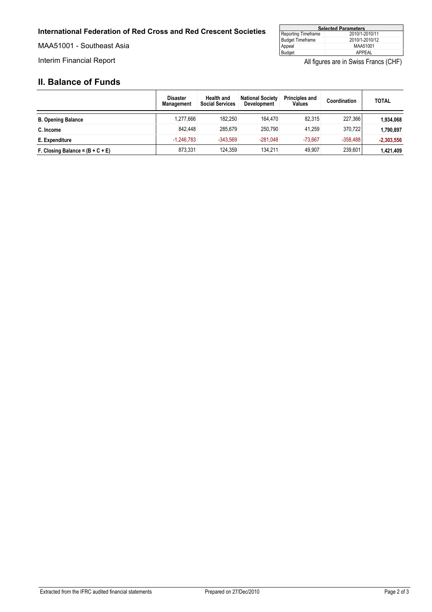#### **International Federation of Red Cross and Red Crescent Societies**

MAA51001 - Southeast Asia

| <b>Selected Parameters</b> |                |  |  |  |
|----------------------------|----------------|--|--|--|
| Reporting Timeframe        | 2010/1-2010/11 |  |  |  |
| <b>Budget Timeframe</b>    | 2010/1-2010/12 |  |  |  |
| Appeal                     | MAA51001       |  |  |  |
| Budget                     | APPFAL         |  |  |  |

Interim Financial Report **All figures are in Swiss Francs (CHF)** All figures are in Swiss Francs (CHF)

### **II. Balance of Funds**

|                                    | <b>Disaster</b><br><b>Management</b> | <b>Health and</b><br><b>Social Services</b> | <b>National Society</b><br><b>Development</b> | <b>Principles and</b><br>Values | Coordination | <b>TOTAL</b> |
|------------------------------------|--------------------------------------|---------------------------------------------|-----------------------------------------------|---------------------------------|--------------|--------------|
| <b>B. Opening Balance</b>          | .277.666                             | 182.250                                     | 164.470                                       | 82.315                          | 227.366      | 1,934,068    |
| C. Income                          | 842.448                              | 285.679                                     | 250.790                                       | 41.259                          | 370.722      | 1,790,897    |
| E. Expenditure                     | $-1.246.783$                         | $-343.569$                                  | $-281.048$                                    | $-73.667$                       | $-358.488$   | $-2,303,556$ |
| F. Closing Balance = $(B + C + E)$ | 873.331                              | 124.359                                     | 134.211                                       | 49.907                          | 239,601      | 1,421,409    |